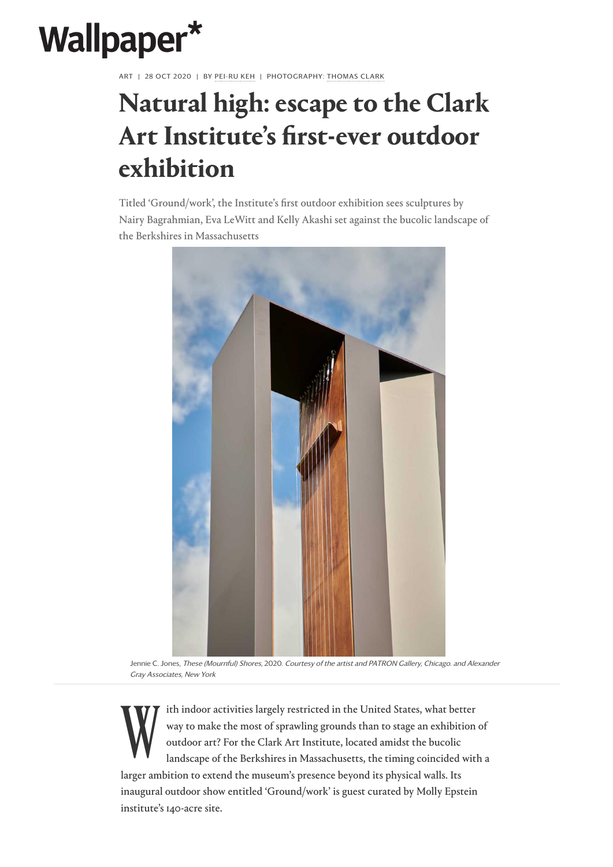

ART | 28 OCT 2020 | BY PEI-RU KEH | PHOTOGRAPHY: THOMAS CLARK

## **Natural high: escape to the Clark Art Institute's first-ever outdoor exhibition**

Titled 'Ground/work', the Institute's first outdoor exhibition sees sculptures by Nairy Bagrahmian, Eva LeWitt and Kelly Akashi set against the bucolic landscape of the Berkshires in Massachusetts



W ith indoor activities largely restricted in the United States, what better way to make the most of sprawling grounds than to stage an exhibition of outdoor art? For the Clark Art Institute, located amidst the bucolic landscape of the Berkshires in Massachusetts, the timing coincided with a larger ambition to extend the museum's presence beyond its physical walls. Its inaugural outdoor show entitled 'Ground/work' is guest curated by Molly Epstein institute's 140-acre site.

Jennie C. Jones, These (Mournful) Shores, 2020. Courtesy of the artist and PATRON Gallery, Chicago. and Alexander Gray Associates, New York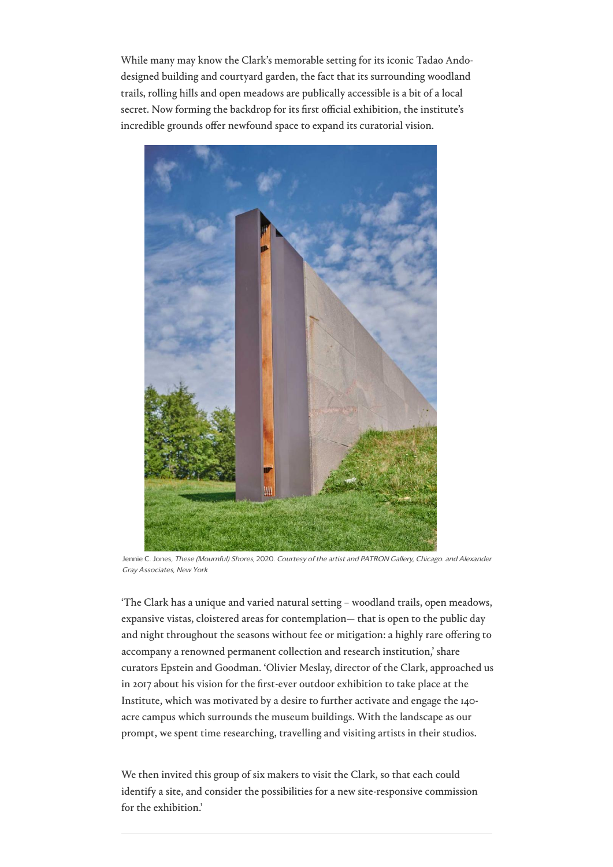[While m](https://www.wallpaper.com/architecture)[any ma](https://www.wallpaper.com/design)[y kn](https://www.wallpaper.com/art)[ow the](https://www.wallpaper.com/travel) [Clark's me](https://www.wallpaper.com/entertaining)[morable s](https://www.wallpaper.com/beauty-grooming)e[tting for](https://www.wallpaper.com/transport) i[ts iconic T](https://www.wallpaper.com/technology)[adao An](https://www.wallpaper.com/fashion)[do](https://www.wallpaper.com/watches-and-jewellery)designed building and courtyard garden, the fact that its surrounding woodland trails, rolling hills and open meadows are publically accessible is a bit of a local secret. Now forming the backdrop for its first official exhibition, the institute's incredible grounds offer newfound space to expand its curatorial vision.

'The Clark has a unique and varied natural setting – woodland trails, open meadows, expansive vistas, cloistered areas for contemplation— that is open to the public day and night throughout the seasons without fee or mitigation: a highly rare offering to accompany a renowned permanent collection and research institution,' share curators Epstein and Goodman. 'Olivier Meslay, director of the Clark, approached us in 2017 about his vision for the first-ever outdoor exhibition to take place at the Institute, which was motivated by a desire to further activate and engage the 140 acre campus which surrounds the museum buildings. With the landscape as our [prompt, we spent time researching, travell](https://www.wallpaper.com/architecture/tadao-ando-annabelle-selldorf-and-gary-hilderbrand-transform-the-clark-art-institute)ing [and visiting artists in their studios.](https://www.wallpaper.com/architecture/tadao-ando-annabelle-selldorf-and-gary-hilderbrand-transform-the-clark-art-institute)

We then invited this group of six makers to visit the Clark, so that each could identify a site, and consider the possibilities for a new site-responsive commission for the exhibition.'



Jennie C. Jones, These (Mournful) Shores, 2020. Courtesy of the artist and PATRON Gallery, Chicago. and Alexander Gray Associates, New York